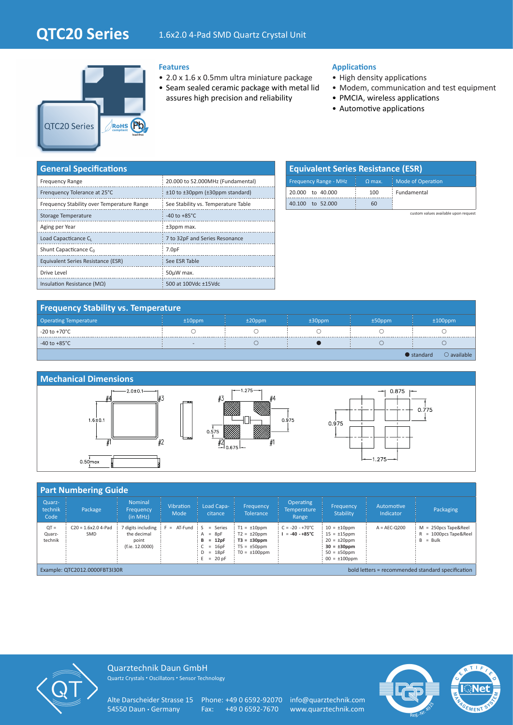# **QTC20 Series** 1.6x2.0 4-Pad SMD Quartz Crystal Unit



### **Features**

- 2.0 x 1.6 x 0.5mm ultra miniature package
- Seam sealed ceramic package with metal lid assures high precision and reliability

### **Applications**

- High density applications
- Modem, communication and test equipment
- PMCIA, wireless applications
	- Automotive applications

| <b>General Specifications</b>              |                                     |
|--------------------------------------------|-------------------------------------|
| <b>Frequency Range</b>                     | 20.000 to 52.000MHz (Fundamental)   |
| Frenquency Tolerance at 25°C               | ±10 to ±30ppm (±30ppm standard)     |
| Frequency Stability over Temperature Range | See Stability vs. Temperature Table |
| Storage Temperature                        | -40 to $+85^{\circ}$ C              |
| Aging per Year                             | $±3$ ppm max.                       |
| Load Capacticance C                        | 7 to 32pF and Series Resonance      |
| Shunt Capacticance Co                      | 7.0 <sub>pF</sub>                   |
| Equivalent Series Resistance (ESR)         | See ESR Table                       |
| Drive Level                                | 50µW max.                           |
| Insulation Resistance ( $M\Omega$ )        | 500 at 100Vdc ±15Vdc                |

| <b>Equivalent Series Resistance (ESR)</b> |          |                          |  |  |  |  |  |
|-------------------------------------------|----------|--------------------------|--|--|--|--|--|
| <b>Frequency Range - MHz</b>              | $Q$ max. | <b>Mode of Operation</b> |  |  |  |  |  |
| 20,000 to 40,000                          | 100      | Fundamental              |  |  |  |  |  |
| to 52,000<br>40 100                       | 60       |                          |  |  |  |  |  |

custom values available upon request

| <b>Frequency Stability vs. Temperature</b> |                          |           |           |           |                                            |  |  |
|--------------------------------------------|--------------------------|-----------|-----------|-----------|--------------------------------------------|--|--|
| <b>Operating Temperature</b>               | $±10$ ppm                | $±20$ ppm | $±30$ ppm | $±50$ ppm | $±100$ ppm                                 |  |  |
| $-20$ to $+70^{\circ}$ C                   |                          |           |           |           |                                            |  |  |
| -40 to +85 $^{\circ}$ C                    | $\overline{\phantom{a}}$ |           |           |           |                                            |  |  |
|                                            |                          |           |           |           | $\bullet$ standard<br>$\bigcirc$ available |  |  |



## **Part Numbering Guide**

| Quarz-<br>technik<br>Code                                                          | Package                      | <b>Nominal</b><br>Frequency<br>(in MHz)                     | <b>Vibration</b><br>Mode | Load Capa-<br>citance                                                         | Frequency<br>Tolerance                                                                              | <b>Operating</b><br><b>Temperature</b><br>Range    | Frequency<br><b>Stability</b>                                                                                               | Automotive<br>Indicator | Packaging                                                          |
|------------------------------------------------------------------------------------|------------------------------|-------------------------------------------------------------|--------------------------|-------------------------------------------------------------------------------|-----------------------------------------------------------------------------------------------------|----------------------------------------------------|-----------------------------------------------------------------------------------------------------------------------------|-------------------------|--------------------------------------------------------------------|
| $OT =$<br>Quarz-<br>technik                                                        | $C20 = 1.6x2.0$ 4-Pad<br>SMD | digits including<br>the decimal<br>point<br>(f.ie. 12.0000) | $= AT-Fund$ $S$          | = Series<br>$A = 8pF$<br>$= 12pF$<br>в<br>$= 16pF$<br>$D = 18pF$<br>$= 20$ pF | $T1 = \pm 10$ ppm<br>$T2 = \pm 20$ ppm<br>$T3 = \pm 30$ ppm<br>$T5 = \pm 50$ ppm<br>$TO = ±100$ ppm | $C = -20 - +70^{\circ}C$<br>$= -40 - +85^{\circ}C$ | $10 = \pm 10$ ppm<br>$15 = \pm 15$ ppm<br>$20 = \pm 20$ ppm<br>$30 = \pm 30$ ppm<br>$50 = \pm 50$ ppm<br>$00 = \pm 100$ ppm | $A = AEC-O200$          | $M = 250DCS$ Tape&Reel<br>$R = 1000$ pcs Tape & Reel<br>$B = Bulk$ |
| bold letters = recommended standard specification<br>Example: QTC2012.0000FBT3I30R |                              |                                                             |                          |                                                                               |                                                                                                     |                                                    |                                                                                                                             |                         |                                                                    |



Quarztechnik Daun GmbH Quartz Crystals • Oscillators • Sensor Technology

Alte Darscheider Strasse 15 Phone: +49 0 6592-92070 info@quarztechnik.com<br>54550 Daun · Germany Fax: +49 0 6592-7670 www.quarztechnik.com

Fax: +49 0 6592-7670 www.quarztechnik.com